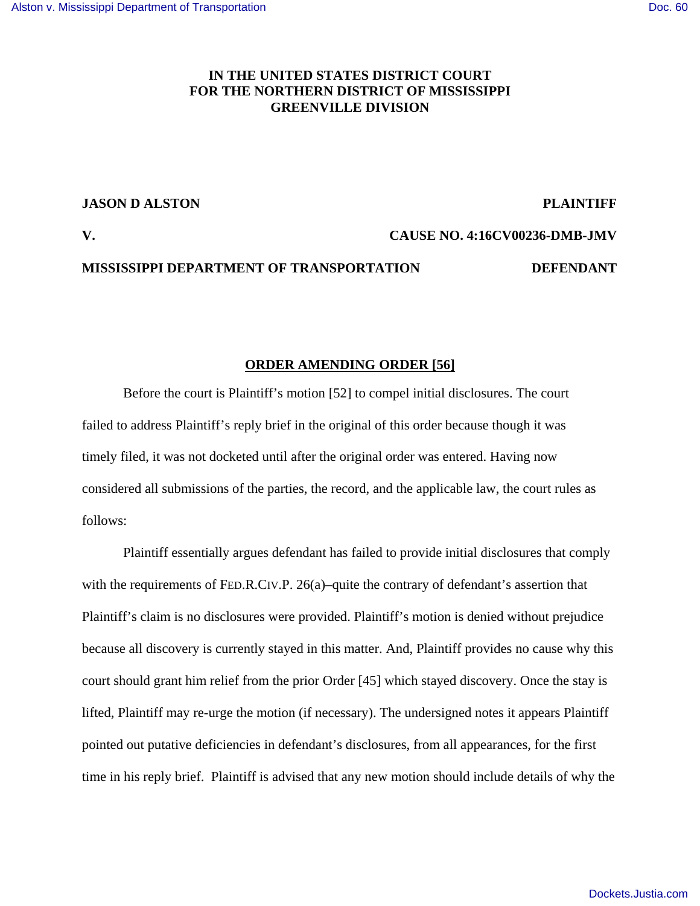# **IN THE UNITED STATES DISTRICT COURT FOR THE NORTHERN DISTRICT OF MISSISSIPPI GREENVILLE DIVISION**

## **JASON D ALSTON PLAINTIFF**

## **V. CAUSE NO. 4:16CV00236-DMB-JMV**

## **MISSISSIPPI DEPARTMENT OF TRANSPORTATION DEFENDANT**

# **ORDER AMENDING ORDER [56]**

Before the court is Plaintiff's motion [52] to compel initial disclosures. The court failed to address Plaintiff's reply brief in the original of this order because though it was timely filed, it was not docketed until after the original order was entered. Having now considered all submissions of the parties, the record, and the applicable law, the court rules as follows:

Plaintiff essentially argues defendant has failed to provide initial disclosures that comply with the requirements of FED.R.CIV.P. 26(a)–quite the contrary of defendant's assertion that Plaintiff's claim is no disclosures were provided. Plaintiff's motion is denied without prejudice because all discovery is currently stayed in this matter. And, Plaintiff provides no cause why this court should grant him relief from the prior Order [45] which stayed discovery. Once the stay is lifted, Plaintiff may re-urge the motion (if necessary). The undersigned notes it appears Plaintiff pointed out putative deficiencies in defendant's disclosures, from all appearances, for the first time in his reply brief. Plaintiff is advised that any new motion should include details of why the